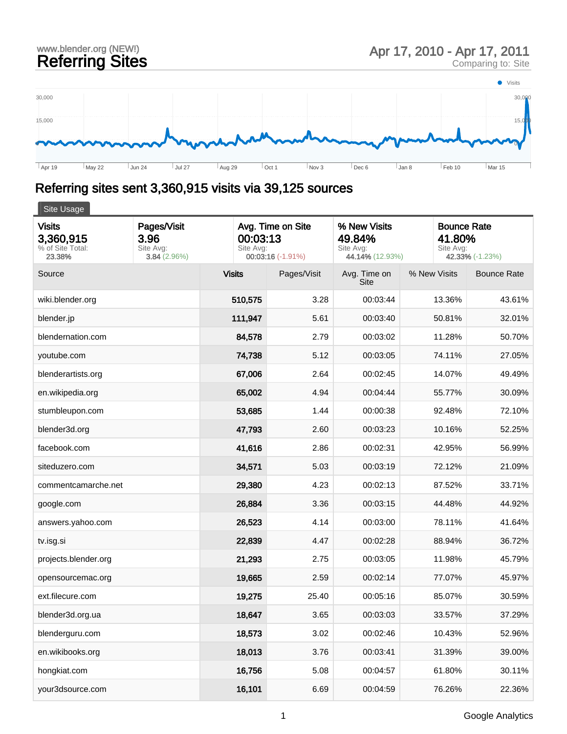## www.blender.org (NEW!) and the comparing Sites Apr 17, 2010 - Apr 17, 2011<br>Referring Sites Apr 17, 2010 - Apr 17, 2011





## Referring sites sent 3,360,915 visits via 39,125 sources

| Site Usage                                               |                                                 |                                                                 |             |                                                        |              |                                                              |  |  |  |  |
|----------------------------------------------------------|-------------------------------------------------|-----------------------------------------------------------------|-------------|--------------------------------------------------------|--------------|--------------------------------------------------------------|--|--|--|--|
| <b>Visits</b><br>3,360,915<br>% of Site Total:<br>23.38% | Pages/Visit<br>3.96<br>Site Avg:<br>3.84(2.96%) | Avg. Time on Site<br>00:03:13<br>Site Avg:<br>00:03:16 (-1.91%) |             | % New Visits<br>49.84%<br>Site Avg:<br>44.14% (12.93%) |              | <b>Bounce Rate</b><br>41.80%<br>Site Avg:<br>42.33% (-1.23%) |  |  |  |  |
| Source                                                   |                                                 | <b>Visits</b>                                                   | Pages/Visit | Avg. Time on<br>Site                                   | % New Visits | <b>Bounce Rate</b>                                           |  |  |  |  |
| wiki.blender.org                                         |                                                 | 510,575                                                         | 3.28        | 00:03:44                                               | 13.36%       | 43.61%                                                       |  |  |  |  |
| blender.jp                                               |                                                 | 111,947                                                         | 5.61        | 00:03:40                                               | 50.81%       | 32.01%                                                       |  |  |  |  |
| blendernation.com                                        |                                                 | 84,578                                                          | 2.79        | 00:03:02                                               | 11.28%       | 50.70%                                                       |  |  |  |  |
| youtube.com                                              |                                                 | 74,738                                                          | 5.12        | 00:03:05                                               | 74.11%       | 27.05%                                                       |  |  |  |  |
| blenderartists.org                                       |                                                 | 67,006                                                          | 2.64        | 00:02:45                                               | 14.07%       | 49.49%                                                       |  |  |  |  |
| en.wikipedia.org                                         |                                                 | 65,002                                                          | 4.94        | 00:04:44                                               | 55.77%       | 30.09%                                                       |  |  |  |  |
| stumbleupon.com                                          |                                                 | 53,685                                                          | 1.44        | 00:00:38                                               | 92.48%       | 72.10%                                                       |  |  |  |  |
| blender3d.org                                            |                                                 | 47,793                                                          | 2.60        | 00:03:23                                               | 10.16%       | 52.25%                                                       |  |  |  |  |
| facebook.com                                             |                                                 | 41,616                                                          | 2.86        | 00:02:31                                               | 42.95%       | 56.99%                                                       |  |  |  |  |
| siteduzero.com                                           |                                                 | 34,571                                                          | 5.03        | 00:03:19                                               | 72.12%       | 21.09%                                                       |  |  |  |  |
| commentcamarche.net                                      |                                                 | 29,380                                                          | 4.23        | 00:02:13                                               | 87.52%       | 33.71%                                                       |  |  |  |  |
| google.com                                               |                                                 | 26,884                                                          | 3.36        | 00:03:15                                               | 44.48%       | 44.92%                                                       |  |  |  |  |
| answers.yahoo.com                                        |                                                 | 26,523                                                          | 4.14        | 00:03:00                                               | 78.11%       | 41.64%                                                       |  |  |  |  |
| tv.isg.si                                                |                                                 | 22,839                                                          | 4.47        | 00:02:28                                               | 88.94%       | 36.72%                                                       |  |  |  |  |
| projects.blender.org                                     |                                                 | 21,293                                                          | 2.75        | 00:03:05                                               | 11.98%       | 45.79%                                                       |  |  |  |  |
| opensourcemac.org                                        |                                                 | 19,665                                                          | 2.59        | 00:02:14                                               | 77.07%       | 45.97%                                                       |  |  |  |  |
| ext.filecure.com                                         |                                                 | 19,275                                                          | 25.40       | 00:05:16                                               | 85.07%       | 30.59%                                                       |  |  |  |  |
| blender3d.org.ua                                         |                                                 | 18,647                                                          | 3.65        | 00:03:03                                               | 33.57%       | 37.29%                                                       |  |  |  |  |
| blenderguru.com                                          |                                                 | 18,573                                                          | 3.02        | 00:02:46                                               | 10.43%       | 52.96%                                                       |  |  |  |  |
| en.wikibooks.org                                         |                                                 | 18,013                                                          | 3.76        | 00:03:41                                               | 31.39%       | 39.00%                                                       |  |  |  |  |
| hongkiat.com                                             |                                                 | 16,756                                                          | 5.08        | 00:04:57                                               | 61.80%       | 30.11%                                                       |  |  |  |  |
| your3dsource.com                                         |                                                 | 16,101                                                          | 6.69        | 00:04:59                                               | 76.26%       | 22.36%                                                       |  |  |  |  |